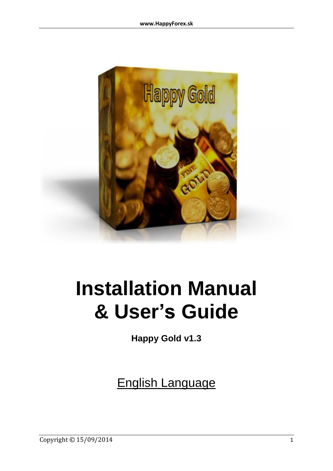

# **Installation Manual & User's Guide**

**Happy Gold v1.3**

English Language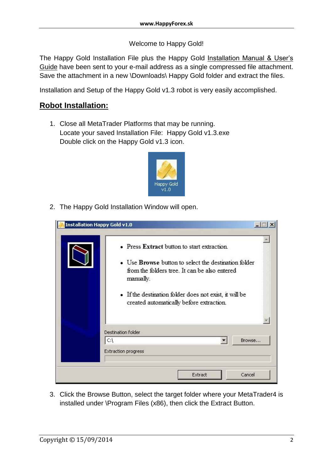#### Welcome to Happy Gold!

The Happy Gold Installation File plus the Happy Gold Installation Manual & User's Guide have been sent to your e-mail address as a single compressed file attachment. Save the attachment in a new \Downloads\ Happy Gold folder and extract the files.

Installation and Setup of the Happy Gold v1.3 robot is very easily accomplished.

#### **Robot Installation:**

1. Close all MetaTrader Platforms that may be running. Locate your saved Installation File: Happy Gold v1.3.exe Double click on the Happy Gold v1.3 icon.



2. The Happy Gold Installation Window will open.

| • Press Extract button to start extraction.<br>• Use <b>Browse</b> button to select the destination folder<br>from the folders tree. It can be also entered<br>manually.<br>• If the destination folder does not exist, it will be |
|------------------------------------------------------------------------------------------------------------------------------------------------------------------------------------------------------------------------------------|
| created automatically before extraction.                                                                                                                                                                                           |
| Destination folder                                                                                                                                                                                                                 |
| $ C\rangle$<br>Browse                                                                                                                                                                                                              |
| <b>Extraction progress</b>                                                                                                                                                                                                         |

3. Click the Browse Button, select the target folder where your MetaTrader4 is installed under \Program Files (x86), then click the Extract Button.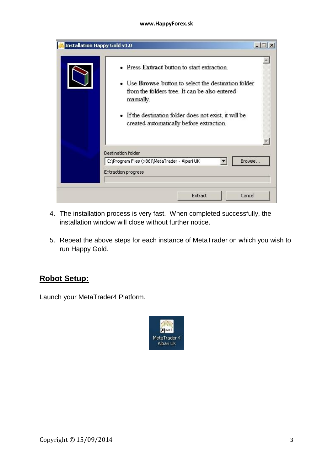| <b>Installation Happy Gold v1.0</b> |                                                                                                                                                                                                                                                                                |        |
|-------------------------------------|--------------------------------------------------------------------------------------------------------------------------------------------------------------------------------------------------------------------------------------------------------------------------------|--------|
|                                     | • Press Extract button to start extraction.<br>• Use <b>Browse</b> button to select the destination folder<br>from the folders tree. It can be also entered<br>manually.<br>· If the destination folder does not exist, it will be<br>created automatically before extraction. |        |
|                                     | <b>Destination folder</b>                                                                                                                                                                                                                                                      |        |
|                                     | C:\Program Files (x86)\MetaTrader - Alpari UK<br>Extraction progress                                                                                                                                                                                                           | Browse |
|                                     | Cancel<br>Extract                                                                                                                                                                                                                                                              |        |

- 4. The installation process is very fast. When completed successfully, the installation window will close without further notice.
- 5. Repeat the above steps for each instance of MetaTrader on which you wish to run Happy Gold.

#### **Robot Setup:**

Launch your MetaTrader4 Platform.

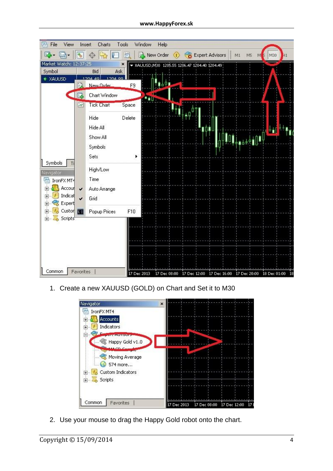| File<br>View<br>隈                  | Insert       | Charts                              | Window<br>Tools |              | Help                                          |                 |                                                                     |                             |  |
|------------------------------------|--------------|-------------------------------------|-----------------|--------------|-----------------------------------------------|-----------------|---------------------------------------------------------------------|-----------------------------|--|
| 马                                  | 動            |                                     | 档               |              | New Order                                     | Expert Advisors | M5<br>M1                                                            | M30<br>H1<br>M <sub>S</sub> |  |
| Market Watch: 12:37:25             |              |                                     | ×               |              | ₩ XAUUSD, M30 1205.55 1206.47 1204.40 1204.49 |                 |                                                                     |                             |  |
| Symbol                             |              | Ask<br>Bid                          |                 |              |                                               |                 |                                                                     |                             |  |
| <b>XAUUSD</b>                      | 臥            | 1204-49<br>1.204<br>00<br>New Order | F9              |              |                                               |                 |                                                                     |                             |  |
|                                    | t.           | Chart Window                        |                 | <b>Salle</b> |                                               |                 |                                                                     |                             |  |
|                                    | $70^{\circ}$ | <b>Tick Chart</b>                   | Space           |              |                                               |                 |                                                                     |                             |  |
|                                    |              | Hide                                | Delete          |              |                                               |                 |                                                                     |                             |  |
|                                    |              | Hide All                            |                 |              |                                               | ∎∩∎             |                                                                     | H                           |  |
|                                    |              | Show All                            |                 |              |                                               |                 | 1449101                                                             |                             |  |
|                                    |              | Symbols                             |                 |              |                                               |                 |                                                                     |                             |  |
|                                    |              | Sets                                | ¥               |              |                                               |                 |                                                                     |                             |  |
| Symbols<br>Navigator               |              | High/Low                            |                 |              |                                               |                 |                                                                     |                             |  |
| IronFX MT4<br>微                    |              | Time                                |                 |              |                                               |                 |                                                                     |                             |  |
| Accour<br>田                        | $\checkmark$ | Auto Arrange                        |                 |              |                                               |                 |                                                                     |                             |  |
| Indicat<br>$\overline{+}$          | Ÿ            | Grid                                |                 |              |                                               |                 |                                                                     |                             |  |
| Expert<br>田                        |              |                                     |                 |              |                                               |                 |                                                                     |                             |  |
| Custor <b>BB</b><br>$\overline{+}$ |              | Popup Prices                        | F10             |              |                                               |                 |                                                                     |                             |  |
| Scripts <sup>*</sup><br><b>+</b>   |              |                                     |                 |              |                                               |                 |                                                                     |                             |  |
|                                    |              |                                     |                 |              |                                               |                 |                                                                     |                             |  |
|                                    |              |                                     |                 |              |                                               |                 |                                                                     |                             |  |
|                                    |              |                                     |                 |              |                                               |                 |                                                                     |                             |  |
|                                    |              |                                     |                 |              |                                               |                 |                                                                     |                             |  |
|                                    |              |                                     |                 |              |                                               |                 |                                                                     |                             |  |
| Common                             | Favorites    |                                     | 17 Dec 2013     |              |                                               |                 | 17 Dec 08:00 17 Dec 12:00 17 Dec 16:00 17 Dec 20:00 18 Dec 01:00 18 |                             |  |

1. Create a new XAUUSD (GOLD) on Chart and Set it to M30



2. Use your mouse to drag the Happy Gold robot onto the chart.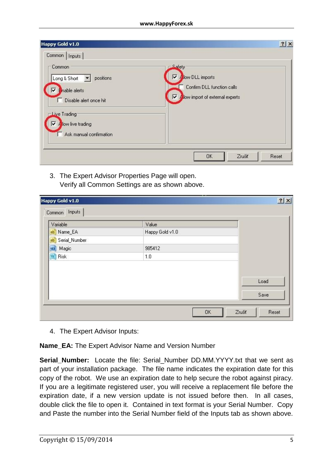| Common<br>Inputs<br>Common | Safety <sup>®</sup>                   |
|----------------------------|---------------------------------------|
| positions<br>Long & Short  | <b>Allow DLL imports</b><br>⊽         |
| nable alerts               | Confirm DLL function calls            |
| Disable alert once hit     | ⊽<br>Allow import of external experts |
| Live Trading               |                                       |
| Allow live trading<br>⊽    |                                       |
|                            |                                       |
| Ask manual confirmation    |                                       |

3. The Expert Advisor Properties Page will open. Verify all Common Settings are as shown above.

| Variable           | Value           |      |
|--------------------|-----------------|------|
| ab Name_EA         | Happy Gold v1.0 |      |
| ab Serial_Number   |                 |      |
| tes Magic          | 985412          |      |
| $\frac{1}{2}$ Risk | 1.0             |      |
|                    |                 |      |
|                    |                 | Load |
|                    |                 |      |
|                    |                 | Save |

4. The Expert Advisor Inputs:

**Name\_EA:** The Expert Advisor Name and Version Number

**Serial Number:** Locate the file: Serial Number DD.MM.YYYY.txt that we sent as part of your installation package. The file name indicates the expiration date for this copy of the robot. We use an expiration date to help secure the robot against piracy. If you are a legitimate registered user, you will receive a replacement file before the expiration date, if a new version update is not issued before then. In all cases, double click the file to open it. Contained in text format is your Serial Number. Copy and Paste the number into the Serial Number field of the Inputs tab as shown above.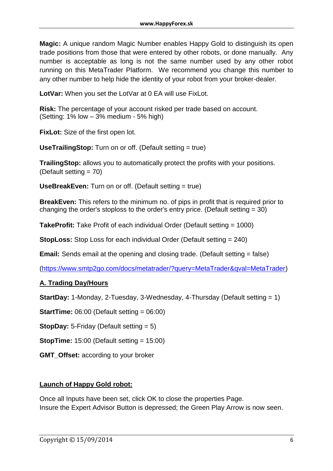**Magic:** A unique random Magic Number enables Happy Gold to distinguish its open trade positions from those that were entered by other robots, or done manually. Any number is acceptable as long is not the same number used by any other robot running on this MetaTrader Platform. We recommend you change this number to any other number to help hide the identity of your robot from your broker-dealer.

**LotVar:** When you set the LotVar at 0 EA will use FixLot.

**Risk:** The percentage of your account risked per trade based on account. (Setting: 1% low – 3% medium - 5% high)

**FixLot:** Size of the first open lot.

**UseTrailingStop:** Turn on or off. (Default setting = true)

**TrailingStop:** allows you to automatically protect the profits with your positions. (Default setting = 70)

**UseBreakEven:** Turn on or off. (Default setting = true)

**BreakEven:** This refers to the minimum no. of pips in profit that is required prior to changing the order's stoploss to the order's entry price. (Default setting = 30)

**TakeProfit:** Take Profit of each individual Order (Default setting = 1000)

**StopLoss:** Stop Loss for each individual Order (Default setting = 240)

**Email:** Sends email at the opening and closing trade. (Default setting = false)

[\(https://www.smtp2go.com/docs/metatrader/?query=MetaTrader&qval=MetaTrader\)](https://www.smtp2go.com/docs/metatrader/?query=MetaTrader&qval=MetaTrader)

#### **A. Trading Day/Hours**

**StartDay:** 1-Monday, 2-Tuesday, 3-Wednesday, 4-Thursday (Default setting = 1)

**StartTime:** 06:00 (Default setting = 06:00)

**StopDay:** 5-Friday (Default setting = 5)

**StopTime:** 15:00 (Default setting = 15:00)

**GMT\_Offset:** according to your broker

#### **Launch of Happy Gold robot:**

Once all Inputs have been set, click OK to close the properties Page. Insure the Expert Advisor Button is depressed; the Green Play Arrow is now seen.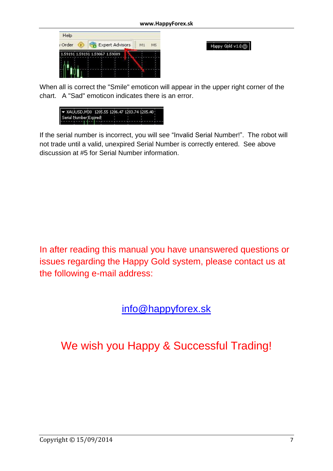

Happy Gold v1.0 (C)

When all is correct the "Smile" emoticon will appear in the upper right corner of the chart. A "Sad" emoticon indicates there is an error.

| ₩ XAUUSD, M30 1205.55 1206.47 1203.74 1205.40 |  |  |  |
|-----------------------------------------------|--|--|--|
| Serial Number Expired!                        |  |  |  |
|                                               |  |  |  |

If the serial number is incorrect, you will see "Invalid Serial Number!". The robot will not trade until a valid, unexpired Serial Number is correctly entered. See above discussion at #5 for Serial Number information.

In after reading this manual you have unanswered questions or issues regarding the Happy Gold system, please contact us at the following e-mail address:

### [info@happyforex.sk](mailto:info@happyforex.sk)

## We wish you Happy & Successful Trading!